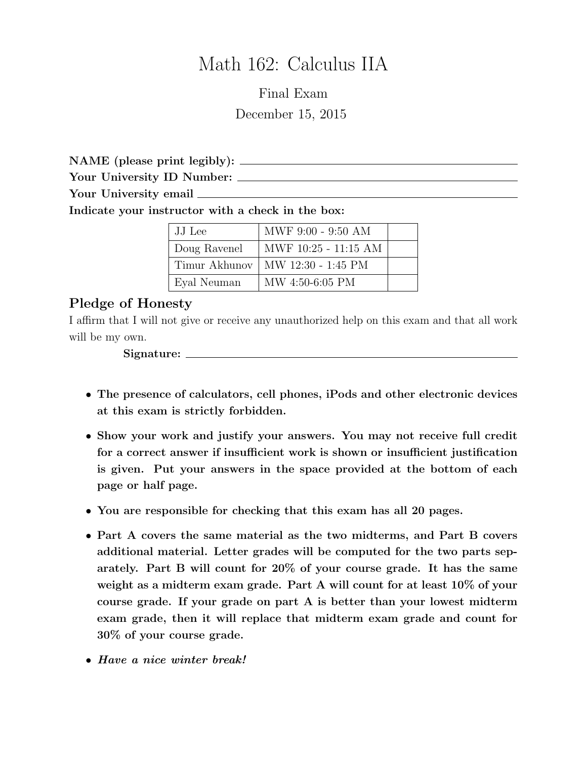# Math 162: Calculus IIA

Final Exam December 15, 2015

NAME (please print legibly): Your University ID Number: Your University email  $\frac{1}{\sqrt{1-\frac{1}{\sqrt{1-\frac{1}{\sqrt{1-\frac{1}{\sqrt{1-\frac{1}{\sqrt{1-\frac{1}{\sqrt{1-\frac{1}{\sqrt{1-\frac{1}{\sqrt{1-\frac{1}{\sqrt{1-\frac{1}{\sqrt{1-\frac{1}{\sqrt{1-\frac{1}{\sqrt{1-\frac{1}{\sqrt{1-\frac{1}{\sqrt{1-\frac{1}{\sqrt{1-\frac{1}{\sqrt{1-\frac{1}{\sqrt{1-\frac{1}{\sqrt{1-\frac{1}{\sqrt{1-\frac{1}{\sqrt{1-\frac{1}{\sqrt{1-\frac{1}{\sqrt{1-\$ 

Indicate your instructor with a check in the box:

| JJ Lee        | MWF 9:00 - 9:50 AM   |  |
|---------------|----------------------|--|
| Doug Ravenel  | MWF 10:25 - 11:15 AM |  |
| Timur Akhunov | MW 12:30 - 1:45 PM   |  |
| Eyal Neuman   | MW 4:50-6:05 PM      |  |

### Pledge of Honesty

I affirm that I will not give or receive any unauthorized help on this exam and that all work will be my own.

Signature:

- The presence of calculators, cell phones, iPods and other electronic devices at this exam is strictly forbidden.
- Show your work and justify your answers. You may not receive full credit for a correct answer if insufficient work is shown or insufficient justification is given. Put your answers in the space provided at the bottom of each page or half page.
- You are responsible for checking that this exam has all 20 pages.
- Part A covers the same material as the two midterms, and Part B covers additional material. Letter grades will be computed for the two parts separately. Part B will count for 20% of your course grade. It has the same weight as a midterm exam grade. Part A will count for at least 10% of your course grade. If your grade on part A is better than your lowest midterm exam grade, then it will replace that midterm exam grade and count for 30% of your course grade.
- Have a nice winter break!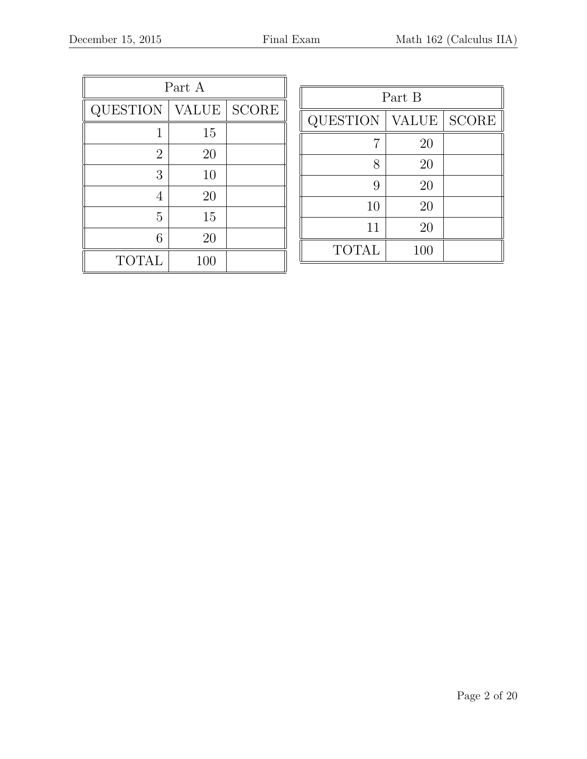| Part A          |              |              |  |  |
|-----------------|--------------|--------------|--|--|
| <b>QUESTION</b> | <b>VALUE</b> | <b>SCORE</b> |  |  |
| 1               | 15           |              |  |  |
| $\overline{2}$  | 20           |              |  |  |
| 3               | 10           |              |  |  |
| 4               | 20           |              |  |  |
| 5               | 15           |              |  |  |
| 6               | 20           |              |  |  |
| <b>TOTAL</b>    | 100          |              |  |  |

| Part B       |              |              |  |  |
|--------------|--------------|--------------|--|--|
| QUESTION     | <b>VALUE</b> | <b>SCORE</b> |  |  |
|              | 20           |              |  |  |
| 8            | 20           |              |  |  |
| 9            | 20           |              |  |  |
| 10           | 20           |              |  |  |
| 11           | 20           |              |  |  |
| <b>TOTAL</b> | 100          |              |  |  |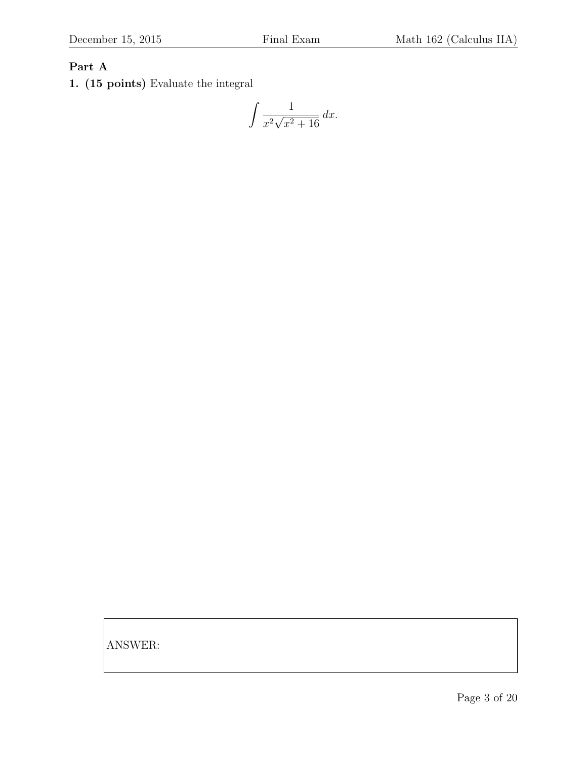### Part A

1. (15 points) Evaluate the integral

$$
\int \frac{1}{x^2 \sqrt{x^2 + 16}} \, dx.
$$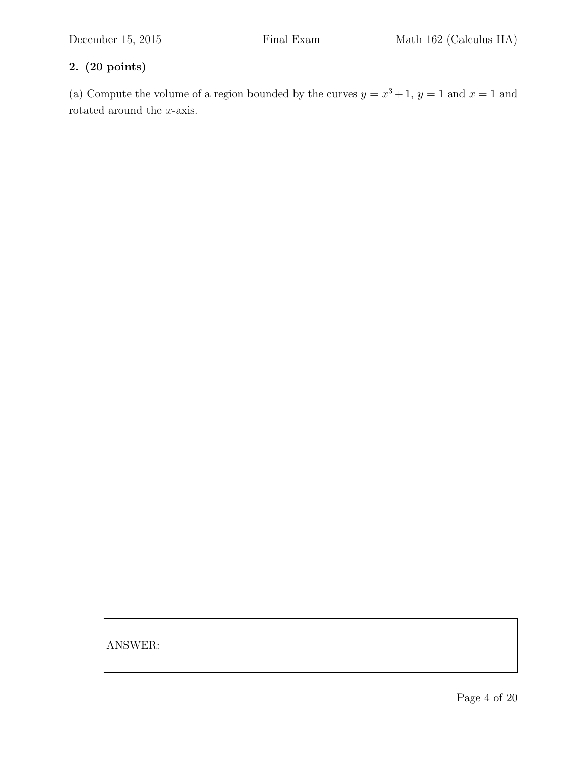(a) Compute the volume of a region bounded by the curves  $y = x^3 + 1$ ,  $y = 1$  and  $x = 1$  and rotated around the  $x$ -axis.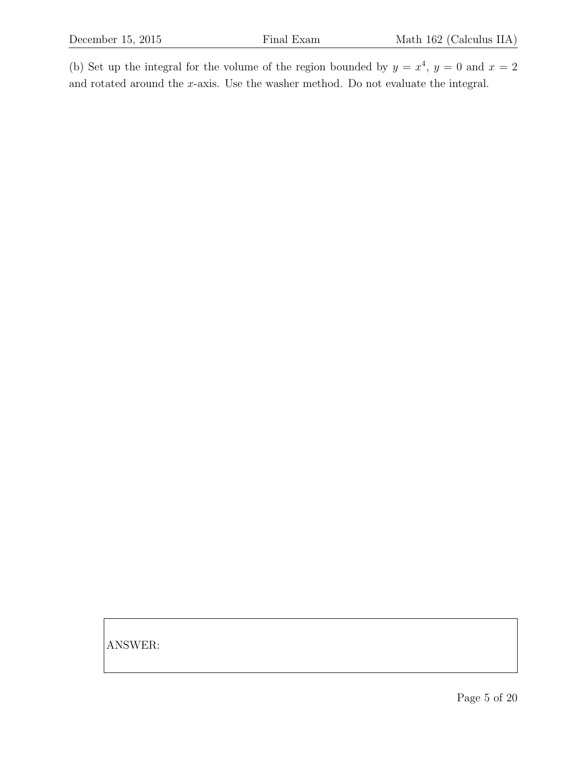(b) Set up the integral for the volume of the region bounded by  $y = x^4$ ,  $y = 0$  and  $x = 2$ and rotated around the x-axis. Use the washer method. Do not evaluate the integral.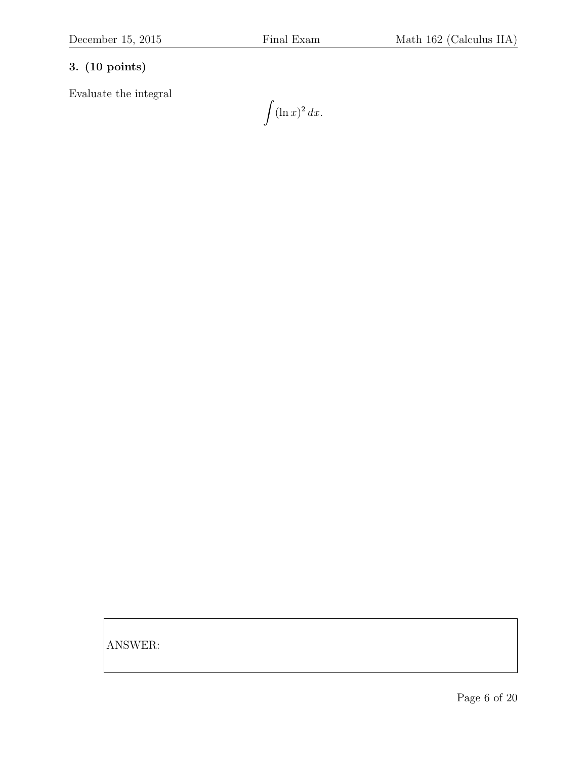Evaluate the integral

 $\int (\ln x)^2 dx.$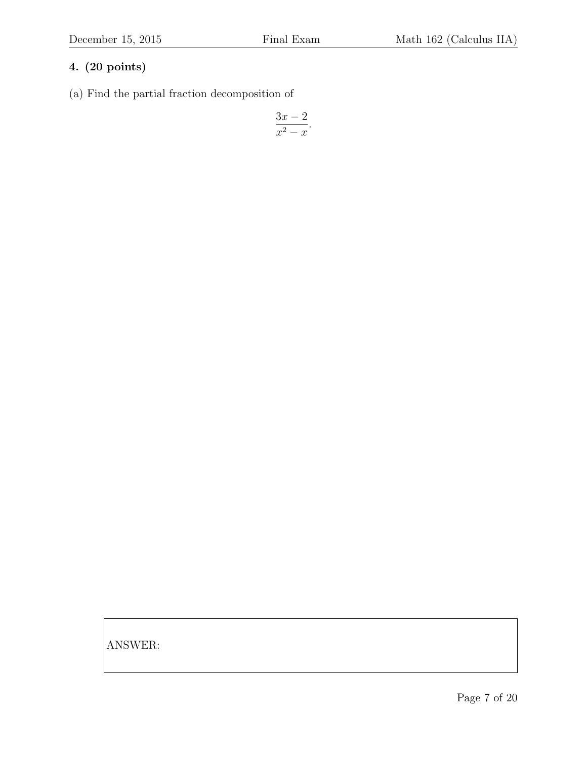(a) Find the partial fraction decomposition of

$$
\frac{3x-2}{x^2-x}.
$$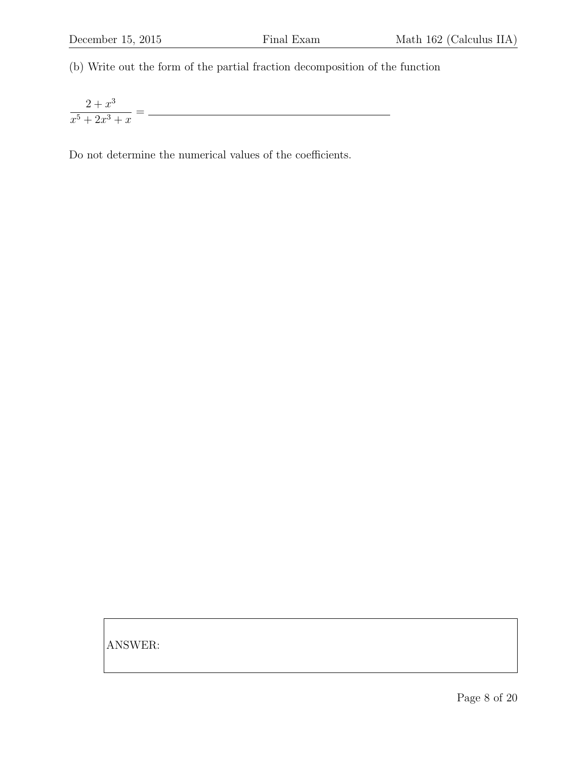(b) Write out the form of the partial fraction decomposition of the function

 $2 + x^3$ <u> 1989 - Johann Barn, mars ar breithinn ar breithinn ar breithinn ar breithinn ar breithinn ar breithinn ar br</u>  $\frac{z+x}{x^5+2x^3+x}$  =

Do not determine the numerical values of the coefficients.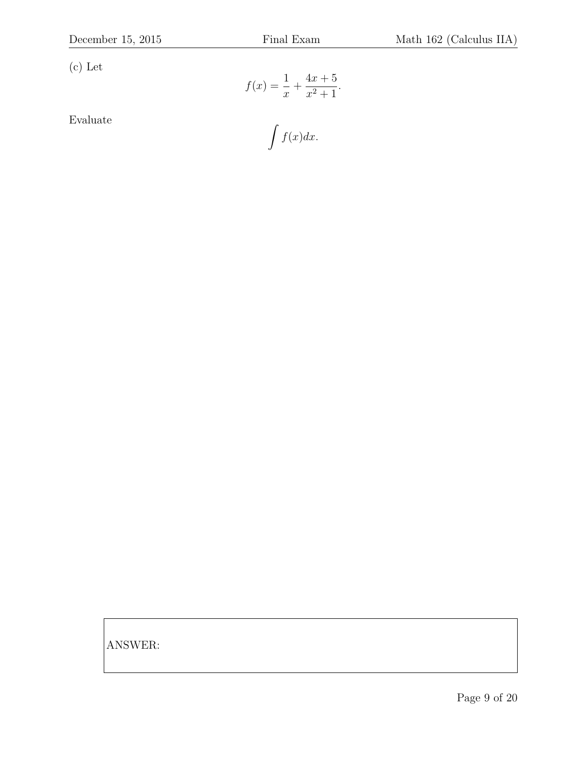(c) Let

$$
f(x) = \frac{1}{x} + \frac{4x + 5}{x^2 + 1}.
$$

Evaluate

$$
\int f(x)dx.
$$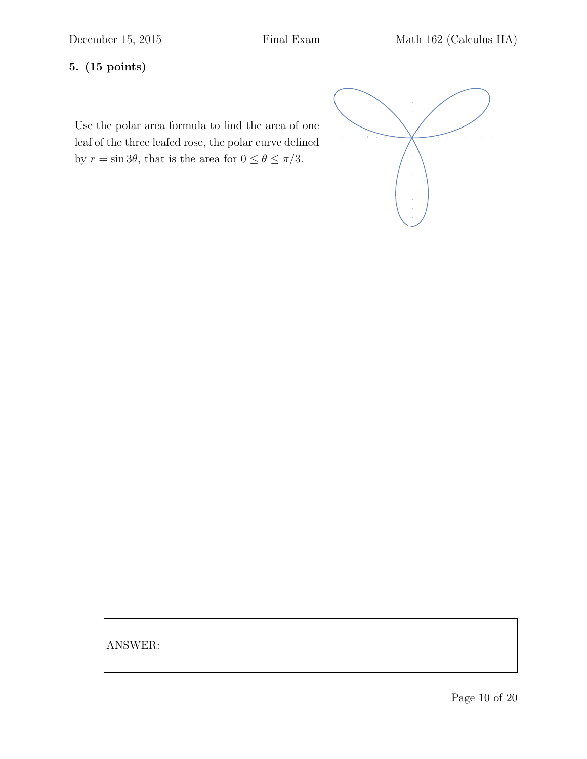# 5. (15 points)

Use the polar area formula to find the area of one leaf of the three leafed rose, the polar curve defined by  $r = \sin 3\theta$ , that is the area for  $0 \le \theta \le \pi/3$ .

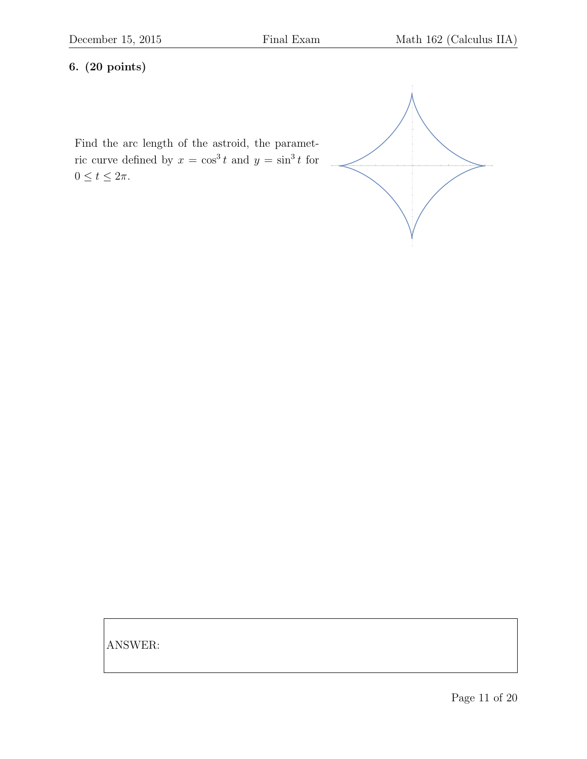Find the arc length of the astroid, the parametric curve defined by  $x = \cos^3 t$  and  $y = \sin^3 t$  for  $0 \le t \le 2\pi$ .

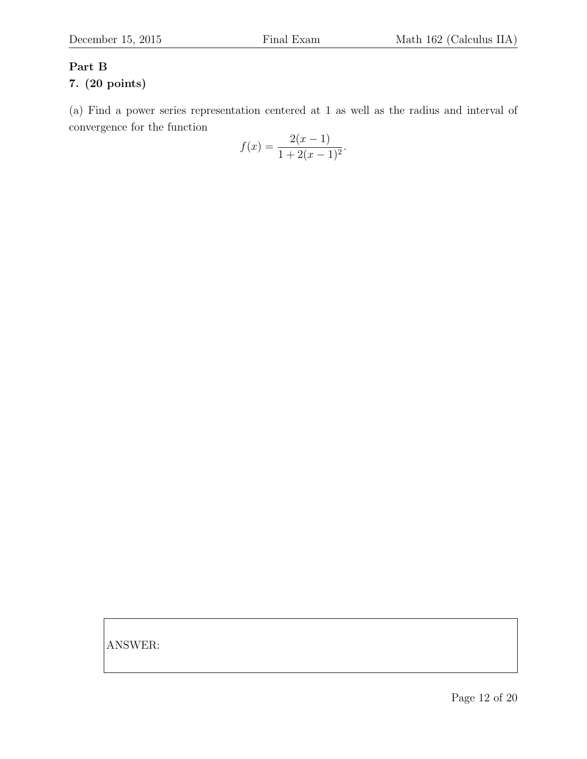# Part B

### 7. (20 points)

(a) Find a power series representation centered at 1 as well as the radius and interval of convergence for the function

$$
f(x) = \frac{2(x-1)}{1 + 2(x-1)^2}.
$$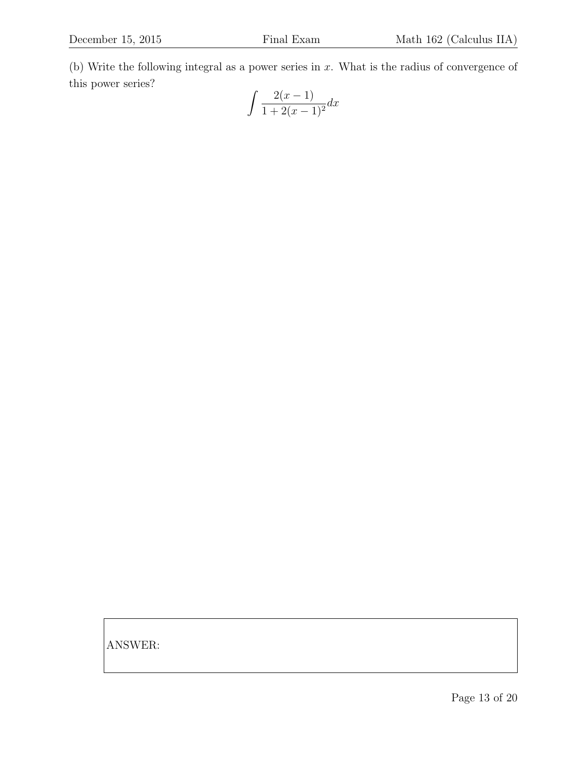(b) Write the following integral as a power series in x. What is the radius of convergence of this power series?

$$
\int \frac{2(x-1)}{1+2(x-1)^2} dx
$$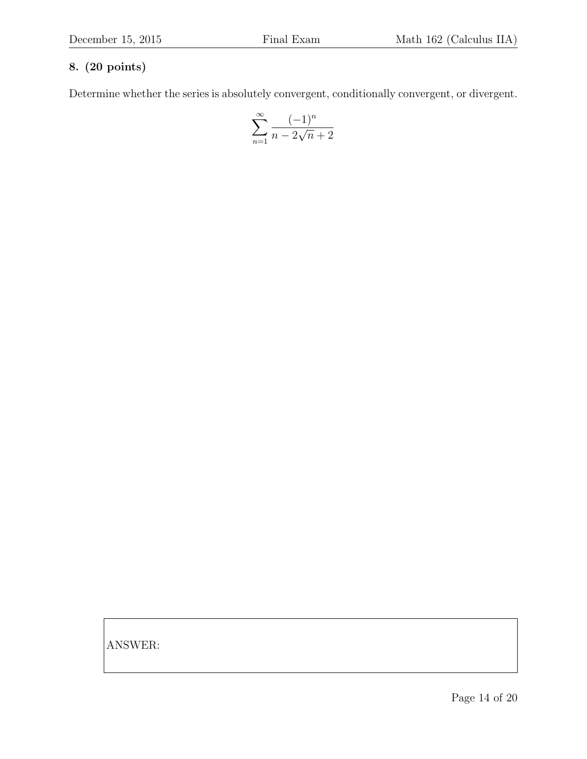Determine whether the series is absolutely convergent, conditionally convergent, or divergent.

$$
\sum_{n=1}^\infty \frac{(-1)^n}{n-2\sqrt{n}+2}
$$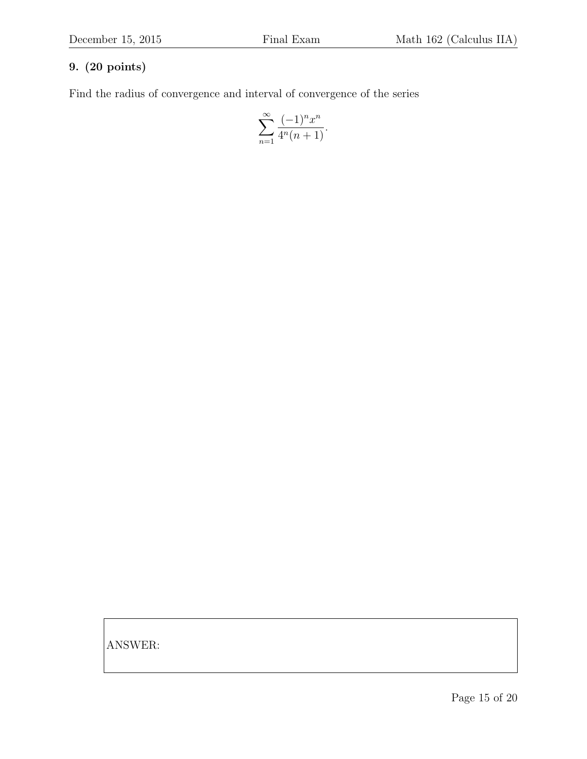Find the radius of convergence and interval of convergence of the series

$$
\sum_{n=1}^{\infty} \frac{(-1)^n x^n}{4^n (n+1)}.
$$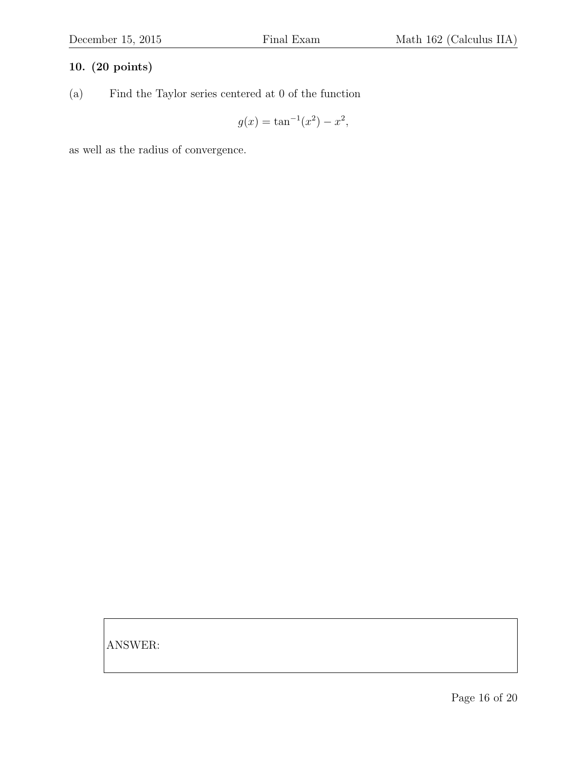(a) Find the Taylor series centered at 0 of the function

$$
g(x) = \tan^{-1}(x^2) - x^2,
$$

as well as the radius of convergence.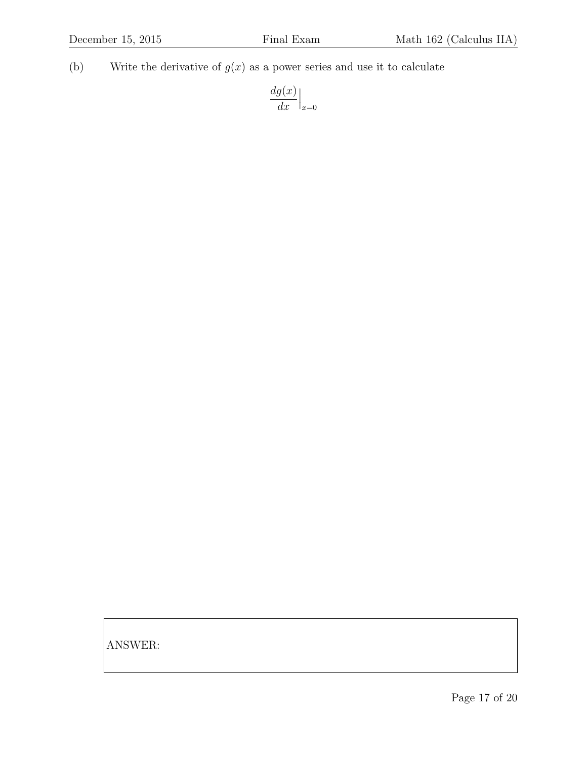(b) Write the derivative of  $g(x)$  as a power series and use it to calculate

$$
\frac{dg(x)}{dx}\Big|_{x=0}
$$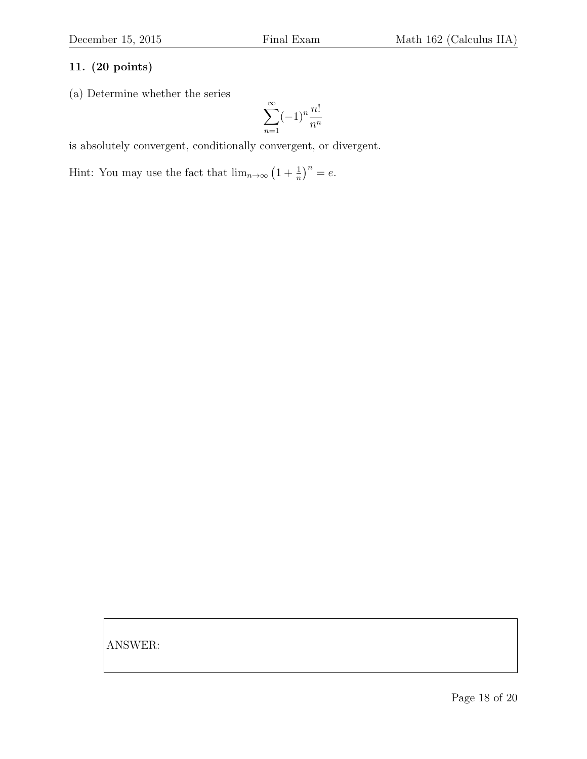(a) Determine whether the series

$$
\sum_{n=1}^{\infty} (-1)^n \frac{n!}{n^n}
$$

is absolutely convergent, conditionally convergent, or divergent.

Hint: You may use the fact that  $\lim_{n\to\infty} (1 + \frac{1}{n})^n = e$ .